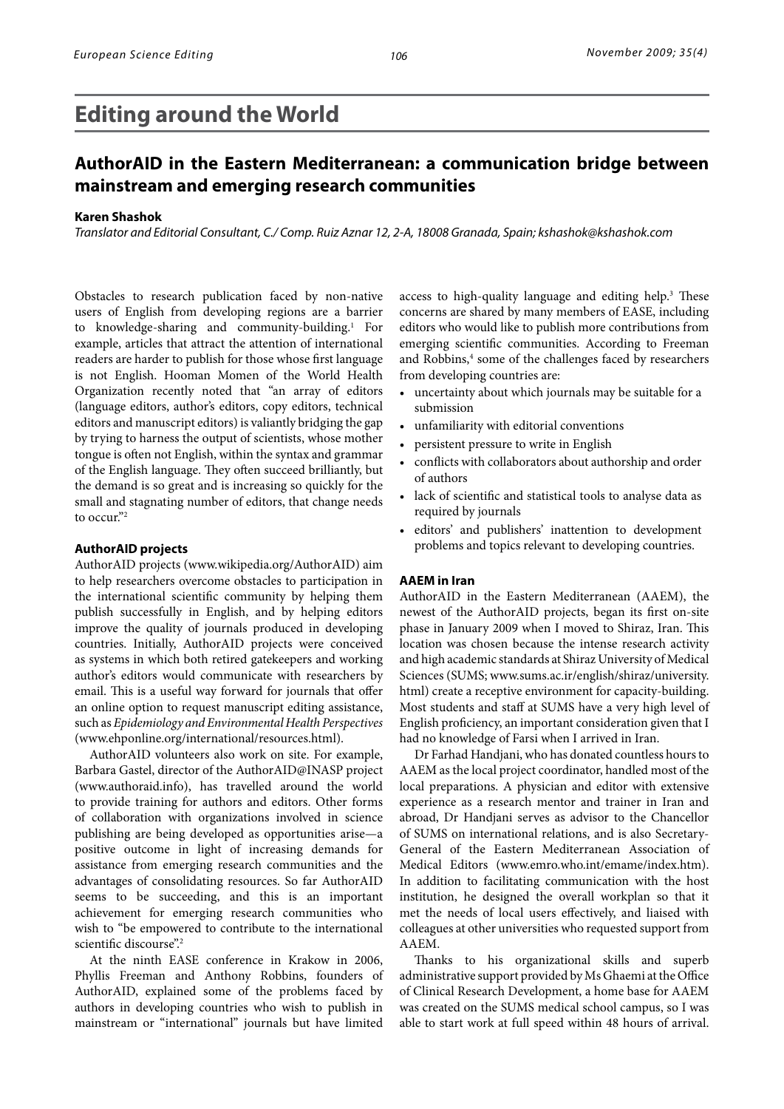# **Editing around the World**

## **AuthorAID in the Eastern Mediterranean: a communication bridge between mainstream and emerging research communities**

#### **Karen Shashok**

*Translator and Editorial Consultant, C./ Comp. Ruiz Aznar 12, 2-A, 18008 Granada, Spain; kshashok@kshashok.com*

Obstacles to research publication faced by non-native users of English from developing regions are a barrier to knowledge-sharing and community-building.<sup>1</sup> For example, articles that attract the attention of international readers are harder to publish for those whose first language is not English. Hooman Momen of the World Health Organization recently noted that "an array of editors (language editors, author's editors, copy editors, technical editors and manuscript editors) is valiantly bridging the gap by trying to harness the output of scientists, whose mother tongue is often not English, within the syntax and grammar of the English language. They often succeed brilliantly, but the demand is so great and is increasing so quickly for the small and stagnating number of editors, that change needs to occur."<sup>2</sup>

#### **AuthorAID projects**

AuthorAID projects (www.wikipedia.org/AuthorAID) aim to help researchers overcome obstacles to participation in the international scientific community by helping them publish successfully in English, and by helping editors improve the quality of journals produced in developing countries. Initially, AuthorAID projects were conceived as systems in which both retired gatekeepers and working author's editors would communicate with researchers by email. This is a useful way forward for journals that offer an online option to request manuscript editing assistance, such as *Epidemiology and Environmental Health Perspectives* (www.ehponline.org/international/resources.html).

AuthorAID volunteers also work on site. For example, Barbara Gastel, director of the AuthorAID@INASP project (www.authoraid.info), has travelled around the world to provide training for authors and editors. Other forms of collaboration with organizations involved in science publishing are being developed as opportunities arise—a positive outcome in light of increasing demands for assistance from emerging research communities and the advantages of consolidating resources. So far AuthorAID seems to be succeeding, and this is an important achievement for emerging research communities who wish to "be empowered to contribute to the international scientific discourse".<sup>2</sup>

At the ninth EASE conference in Krakow in 2006, Phyllis Freeman and Anthony Robbins, founders of AuthorAID, explained some of the problems faced by authors in developing countries who wish to publish in mainstream or "international" journals but have limited

access to high-quality language and editing help.<sup>3</sup> These concerns are shared by many members of EASE, including editors who would like to publish more contributions from emerging scientific communities. According to Freeman and Robbins,<sup>4</sup> some of the challenges faced by researchers from developing countries are:

- uncertainty about which journals may be suitable for a submission
- • unfamiliarity with editorial conventions
- persistent pressure to write in English
- conflicts with collaborators about authorship and order of authors
- lack of scientific and statistical tools to analyse data as required by journals
- • editors' and publishers' inattention to development problems and topics relevant to developing countries.

#### **AAEM in Iran**

AuthorAID in the Eastern Mediterranean (AAEM), the newest of the AuthorAID projects, began its first on-site phase in January 2009 when I moved to Shiraz, Iran. This location was chosen because the intense research activity and high academic standards at Shiraz University of Medical Sciences (SUMS; www.sums.ac.ir/english/shiraz/university. html) create a receptive environment for capacity-building. Most students and staff at SUMS have a very high level of English proficiency, an important consideration given that I had no knowledge of Farsi when I arrived in Iran.

Dr Farhad Handjani, who has donated countless hours to AAEM as the local project coordinator, handled most of the local preparations. A physician and editor with extensive experience as a research mentor and trainer in Iran and abroad, Dr Handjani serves as advisor to the Chancellor of SUMS on international relations, and is also Secretary-General of the Eastern Mediterranean Association of Medical Editors (www.emro.who.int/emame/index.htm). In addition to facilitating communication with the host institution, he designed the overall workplan so that it met the needs of local users effectively, and liaised with colleagues at other universities who requested support from AAEM.

Thanks to his organizational skills and superb administrative support provided by Ms Ghaemi at the Office of Clinical Research Development, a home base for AAEM was created on the SUMS medical school campus, so I was able to start work at full speed within 48 hours of arrival.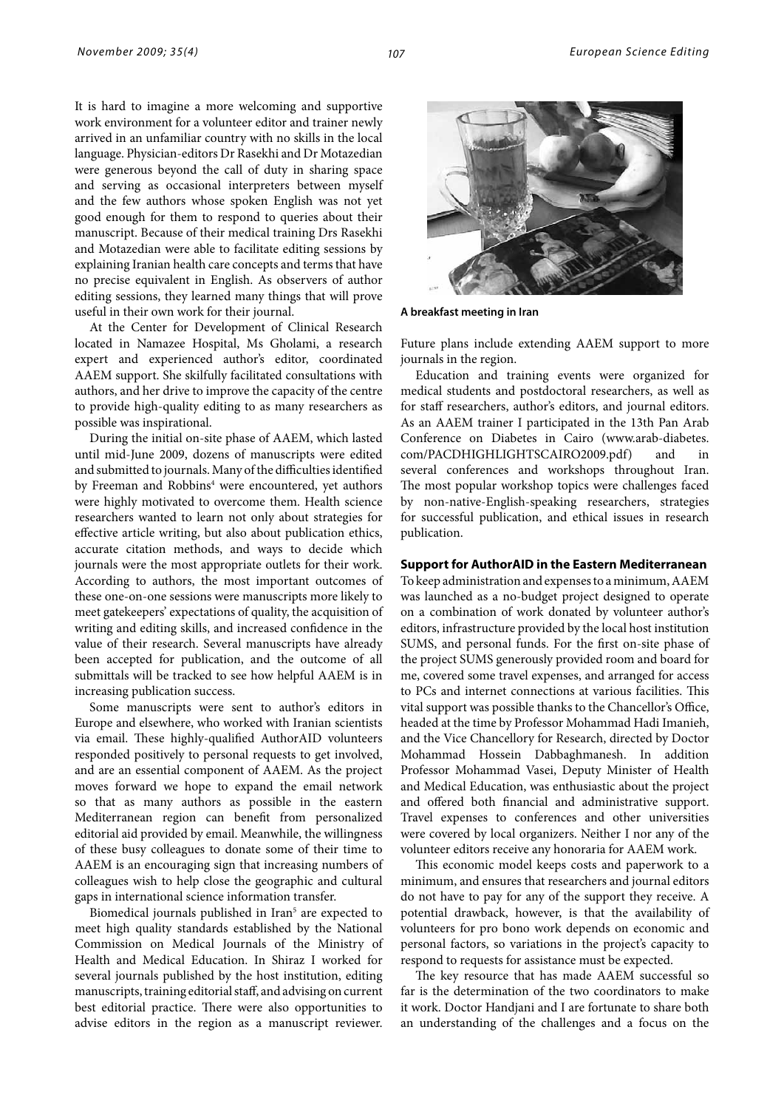It is hard to imagine a more welcoming and supportive work environment for a volunteer editor and trainer newly arrived in an unfamiliar country with no skills in the local language. Physician-editors Dr Rasekhi and Dr Motazedian were generous beyond the call of duty in sharing space and serving as occasional interpreters between myself and the few authors whose spoken English was not yet good enough for them to respond to queries about their manuscript. Because of their medical training Drs Rasekhi and Motazedian were able to facilitate editing sessions by explaining Iranian health care concepts and terms that have no precise equivalent in English. As observers of author editing sessions, they learned many things that will prove useful in their own work for their journal.

At the Center for Development of Clinical Research located in Namazee Hospital, Ms Gholami, a research expert and experienced author's editor, coordinated AAEM support. She skilfully facilitated consultations with authors, and her drive to improve the capacity of the centre to provide high-quality editing to as many researchers as possible was inspirational.

During the initial on-site phase of AAEM, which lasted until mid-June 2009, dozens of manuscripts were edited and submitted to journals. Many of the difficulties identified by Freeman and Robbins<sup>4</sup> were encountered, yet authors were highly motivated to overcome them. Health science researchers wanted to learn not only about strategies for effective article writing, but also about publication ethics, accurate citation methods, and ways to decide which journals were the most appropriate outlets for their work. According to authors, the most important outcomes of these one-on-one sessions were manuscripts more likely to meet gatekeepers' expectations of quality, the acquisition of writing and editing skills, and increased confidence in the value of their research. Several manuscripts have already been accepted for publication, and the outcome of all submittals will be tracked to see how helpful AAEM is in increasing publication success.

Some manuscripts were sent to author's editors in Europe and elsewhere, who worked with Iranian scientists via email. These highly-qualified AuthorAID volunteers responded positively to personal requests to get involved, and are an essential component of AAEM. As the project moves forward we hope to expand the email network so that as many authors as possible in the eastern Mediterranean region can benefit from personalized editorial aid provided by email. Meanwhile, the willingness of these busy colleagues to donate some of their time to AAEM is an encouraging sign that increasing numbers of colleagues wish to help close the geographic and cultural gaps in international science information transfer.

Biomedical journals published in Iran<sup>5</sup> are expected to meet high quality standards established by the National Commission on Medical Journals of the Ministry of Health and Medical Education. In Shiraz I worked for several journals published by the host institution, editing manuscripts, training editorial staff, and advising on current best editorial practice. There were also opportunities to advise editors in the region as a manuscript reviewer.



**A breakfast meeting in Iran**

Future plans include extending AAEM support to more journals in the region.

Education and training events were organized for medical students and postdoctoral researchers, as well as for staff researchers, author's editors, and journal editors. As an AAEM trainer I participated in the 13th Pan Arab Conference on Diabetes in Cairo (www.arab-diabetes. com/PACDHIGHLIGHTSCAIRO2009.pdf) and in several conferences and workshops throughout Iran. The most popular workshop topics were challenges faced by non-native-English-speaking researchers, strategies for successful publication, and ethical issues in research publication.

### **Support for AuthorAID in the Eastern Mediterranean**

To keep administration and expenses to a minimum, AAEM was launched as a no-budget project designed to operate on a combination of work donated by volunteer author's editors, infrastructure provided by the local host institution SUMS, and personal funds. For the first on-site phase of the project SUMS generously provided room and board for me, covered some travel expenses, and arranged for access to PCs and internet connections at various facilities. This vital support was possible thanks to the Chancellor's Office, headed at the time by Professor Mohammad Hadi Imanieh, and the Vice Chancellory for Research, directed by Doctor Mohammad Hossein Dabbaghmanesh. In addition Professor Mohammad Vasei, Deputy Minister of Health and Medical Education, was enthusiastic about the project and offered both financial and administrative support. Travel expenses to conferences and other universities were covered by local organizers. Neither I nor any of the volunteer editors receive any honoraria for AAEM work.

This economic model keeps costs and paperwork to a minimum, and ensures that researchers and journal editors do not have to pay for any of the support they receive. A potential drawback, however, is that the availability of volunteers for pro bono work depends on economic and personal factors, so variations in the project's capacity to respond to requests for assistance must be expected.

The key resource that has made AAEM successful so far is the determination of the two coordinators to make it work. Doctor Handjani and I are fortunate to share both an understanding of the challenges and a focus on the